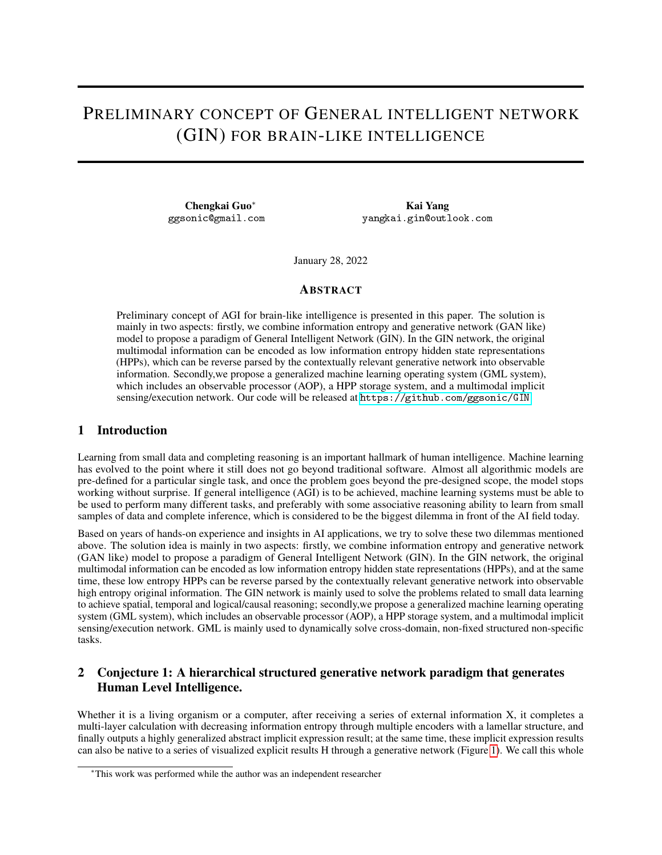# PRELIMINARY CONCEPT OF GENERAL INTELLIGENT NETWORK (GIN) FOR BRAIN-LIKE INTELLIGENCE

Chengkai Guo<sup>∗</sup> ggsonic@gmail.com

Kai Yang yangkai.gin@outlook.com

January 28, 2022

#### ABSTRACT

Preliminary concept of AGI for brain-like intelligence is presented in this paper. The solution is mainly in two aspects: firstly, we combine information entropy and generative network (GAN like) model to propose a paradigm of General Intelligent Network (GIN). In the GIN network, the original multimodal information can be encoded as low information entropy hidden state representations (HPPs), which can be reverse parsed by the contextually relevant generative network into observable information. Secondly,we propose a generalized machine learning operating system (GML system), which includes an observable processor (AOP), a HPP storage system, and a multimodal implicit sensing/execution network. Our code will be released at <https://github.com/ggsonic/GIN>

#### 1 Introduction

Learning from small data and completing reasoning is an important hallmark of human intelligence. Machine learning has evolved to the point where it still does not go beyond traditional software. Almost all algorithmic models are pre-defined for a particular single task, and once the problem goes beyond the pre-designed scope, the model stops working without surprise. If general intelligence (AGI) is to be achieved, machine learning systems must be able to be used to perform many different tasks, and preferably with some associative reasoning ability to learn from small samples of data and complete inference, which is considered to be the biggest dilemma in front of the AI field today.

Based on years of hands-on experience and insights in AI applications, we try to solve these two dilemmas mentioned above. The solution idea is mainly in two aspects: firstly, we combine information entropy and generative network (GAN like) model to propose a paradigm of General Intelligent Network (GIN). In the GIN network, the original multimodal information can be encoded as low information entropy hidden state representations (HPPs), and at the same time, these low entropy HPPs can be reverse parsed by the contextually relevant generative network into observable high entropy original information. The GIN network is mainly used to solve the problems related to small data learning to achieve spatial, temporal and logical/causal reasoning; secondly,we propose a generalized machine learning operating system (GML system), which includes an observable processor (AOP), a HPP storage system, and a multimodal implicit sensing/execution network. GML is mainly used to dynamically solve cross-domain, non-fixed structured non-specific tasks.

### 2 Conjecture 1: A hierarchical structured generative network paradigm that generates Human Level Intelligence.

Whether it is a living organism or a computer, after receiving a series of external information X, it completes a multi-layer calculation with decreasing information entropy through multiple encoders with a lamellar structure, and finally outputs a highly generalized abstract implicit expression result; at the same time, these implicit expression results can also be native to a series of visualized explicit results H through a generative network (Figure [1\)](#page-1-0). We call this whole

<sup>∗</sup>This work was performed while the author was an independent researcher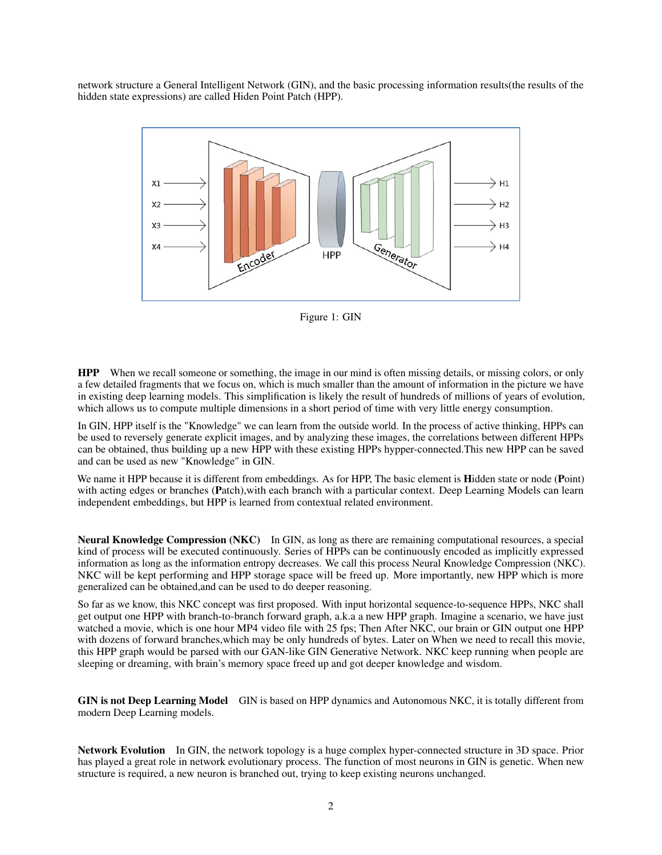network structure a General Intelligent Network (GIN), and the basic processing information results(the results of the hidden state expressions) are called Hiden Point Patch (HPP).



<span id="page-1-0"></span>Figure 1: GIN

HPP When we recall someone or something, the image in our mind is often missing details, or missing colors, or only a few detailed fragments that we focus on, which is much smaller than the amount of information in the picture we have in existing deep learning models. This simplification is likely the result of hundreds of millions of years of evolution, which allows us to compute multiple dimensions in a short period of time with very little energy consumption.

In GIN, HPP itself is the "Knowledge" we can learn from the outside world. In the process of active thinking, HPPs can be used to reversely generate explicit images, and by analyzing these images, the correlations between different HPPs can be obtained, thus building up a new HPP with these existing HPPs hypper-connected.This new HPP can be saved and can be used as new "Knowledge" in GIN.

We name it HPP because it is different from embeddings. As for HPP, The basic element is **Hidden** state or node (Point) with acting edges or branches (Patch), with each branch with a particular context. Deep Learning Models can learn independent embeddings, but HPP is learned from contextual related environment.

Neural Knowledge Compression (NKC) In GIN, as long as there are remaining computational resources, a special kind of process will be executed continuously. Series of HPPs can be continuously encoded as implicitly expressed information as long as the information entropy decreases. We call this process Neural Knowledge Compression (NKC). NKC will be kept performing and HPP storage space will be freed up. More importantly, new HPP which is more generalized can be obtained,and can be used to do deeper reasoning.

So far as we know, this NKC concept was first proposed. With input horizontal sequence-to-sequence HPPs, NKC shall get output one HPP with branch-to-branch forward graph, a.k.a a new HPP graph. Imagine a scenario, we have just watched a movie, which is one hour MP4 video file with 25 fps; Then After NKC, our brain or GIN output one HPP with dozens of forward branches,which may be only hundreds of bytes. Later on When we need to recall this movie, this HPP graph would be parsed with our GAN-like GIN Generative Network. NKC keep running when people are sleeping or dreaming, with brain's memory space freed up and got deeper knowledge and wisdom.

GIN is not Deep Learning Model GIN is based on HPP dynamics and Autonomous NKC, it is totally different from modern Deep Learning models.

Network Evolution In GIN, the network topology is a huge complex hyper-connected structure in 3D space. Prior has played a great role in network evolutionary process. The function of most neurons in GIN is genetic. When new structure is required, a new neuron is branched out, trying to keep existing neurons unchanged.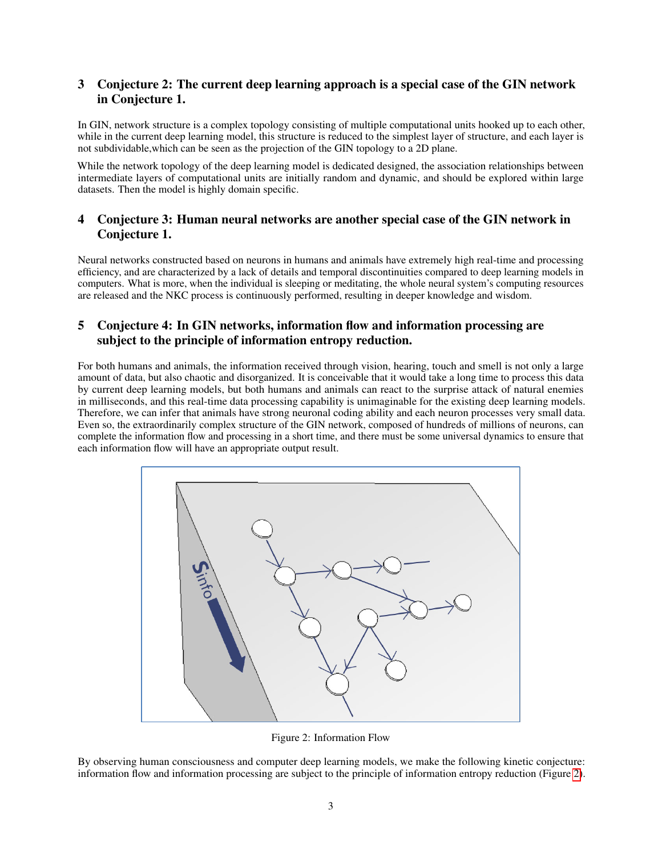# 3 Conjecture 2: The current deep learning approach is a special case of the GIN network in Conjecture 1.

In GIN, network structure is a complex topology consisting of multiple computational units hooked up to each other, while in the current deep learning model, this structure is reduced to the simplest layer of structure, and each layer is not subdividable,which can be seen as the projection of the GIN topology to a 2D plane.

While the network topology of the deep learning model is dedicated designed, the association relationships between intermediate layers of computational units are initially random and dynamic, and should be explored within large datasets. Then the model is highly domain specific.

# 4 Conjecture 3: Human neural networks are another special case of the GIN network in Conjecture 1.

Neural networks constructed based on neurons in humans and animals have extremely high real-time and processing efficiency, and are characterized by a lack of details and temporal discontinuities compared to deep learning models in computers. What is more, when the individual is sleeping or meditating, the whole neural system's computing resources are released and the NKC process is continuously performed, resulting in deeper knowledge and wisdom.

# 5 Conjecture 4: In GIN networks, information flow and information processing are subject to the principle of information entropy reduction.

For both humans and animals, the information received through vision, hearing, touch and smell is not only a large amount of data, but also chaotic and disorganized. It is conceivable that it would take a long time to process this data by current deep learning models, but both humans and animals can react to the surprise attack of natural enemies in milliseconds, and this real-time data processing capability is unimaginable for the existing deep learning models. Therefore, we can infer that animals have strong neuronal coding ability and each neuron processes very small data. Even so, the extraordinarily complex structure of the GIN network, composed of hundreds of millions of neurons, can complete the information flow and processing in a short time, and there must be some universal dynamics to ensure that each information flow will have an appropriate output result.



<span id="page-2-0"></span>Figure 2: Information Flow

By observing human consciousness and computer deep learning models, we make the following kinetic conjecture: information flow and information processing are subject to the principle of information entropy reduction (Figure [2\)](#page-2-0).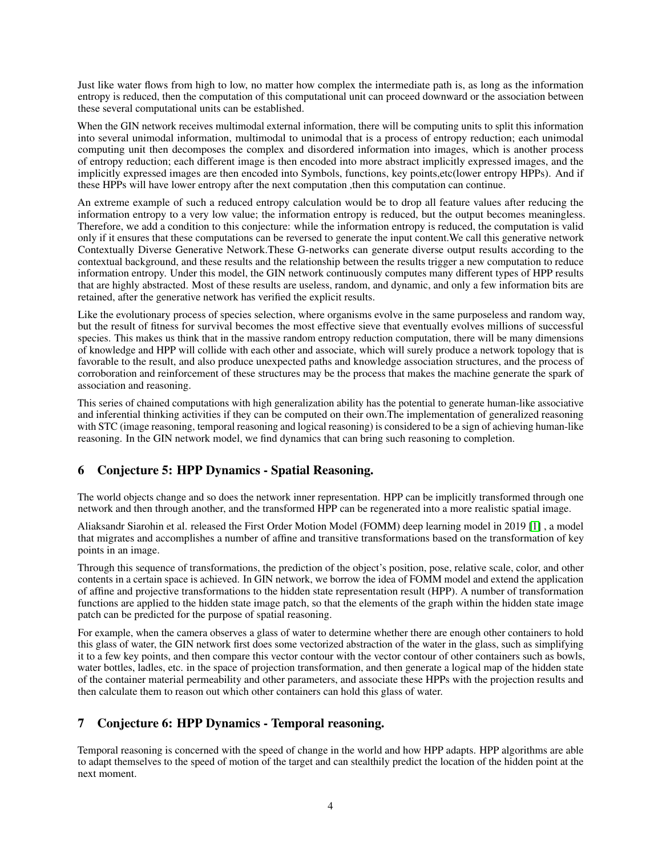Just like water flows from high to low, no matter how complex the intermediate path is, as long as the information entropy is reduced, then the computation of this computational unit can proceed downward or the association between these several computational units can be established.

When the GIN network receives multimodal external information, there will be computing units to split this information into several unimodal information, multimodal to unimodal that is a process of entropy reduction; each unimodal computing unit then decomposes the complex and disordered information into images, which is another process of entropy reduction; each different image is then encoded into more abstract implicitly expressed images, and the implicitly expressed images are then encoded into Symbols, functions, key points,etc(lower entropy HPPs). And if these HPPs will have lower entropy after the next computation ,then this computation can continue.

An extreme example of such a reduced entropy calculation would be to drop all feature values after reducing the information entropy to a very low value; the information entropy is reduced, but the output becomes meaningless. Therefore, we add a condition to this conjecture: while the information entropy is reduced, the computation is valid only if it ensures that these computations can be reversed to generate the input content.We call this generative network Contextually Diverse Generative Network.These G-networks can generate diverse output results according to the contextual background, and these results and the relationship between the results trigger a new computation to reduce information entropy. Under this model, the GIN network continuously computes many different types of HPP results that are highly abstracted. Most of these results are useless, random, and dynamic, and only a few information bits are retained, after the generative network has verified the explicit results.

Like the evolutionary process of species selection, where organisms evolve in the same purposeless and random way, but the result of fitness for survival becomes the most effective sieve that eventually evolves millions of successful species. This makes us think that in the massive random entropy reduction computation, there will be many dimensions of knowledge and HPP will collide with each other and associate, which will surely produce a network topology that is favorable to the result, and also produce unexpected paths and knowledge association structures, and the process of corroboration and reinforcement of these structures may be the process that makes the machine generate the spark of association and reasoning.

This series of chained computations with high generalization ability has the potential to generate human-like associative and inferential thinking activities if they can be computed on their own.The implementation of generalized reasoning with STC (image reasoning, temporal reasoning and logical reasoning) is considered to be a sign of achieving human-like reasoning. In the GIN network model, we find dynamics that can bring such reasoning to completion.

# 6 Conjecture 5: HPP Dynamics - Spatial Reasoning.

The world objects change and so does the network inner representation. HPP can be implicitly transformed through one network and then through another, and the transformed HPP can be regenerated into a more realistic spatial image.

Aliaksandr Siarohin et al. released the First Order Motion Model (FOMM) deep learning model in 2019 [\[1\]](#page-8-0) , a model that migrates and accomplishes a number of affine and transitive transformations based on the transformation of key points in an image.

Through this sequence of transformations, the prediction of the object's position, pose, relative scale, color, and other contents in a certain space is achieved. In GIN network, we borrow the idea of FOMM model and extend the application of affine and projective transformations to the hidden state representation result (HPP). A number of transformation functions are applied to the hidden state image patch, so that the elements of the graph within the hidden state image patch can be predicted for the purpose of spatial reasoning.

For example, when the camera observes a glass of water to determine whether there are enough other containers to hold this glass of water, the GIN network first does some vectorized abstraction of the water in the glass, such as simplifying it to a few key points, and then compare this vector contour with the vector contour of other containers such as bowls, water bottles, ladles, etc. in the space of projection transformation, and then generate a logical map of the hidden state of the container material permeability and other parameters, and associate these HPPs with the projection results and then calculate them to reason out which other containers can hold this glass of water.

# 7 Conjecture 6: HPP Dynamics - Temporal reasoning.

Temporal reasoning is concerned with the speed of change in the world and how HPP adapts. HPP algorithms are able to adapt themselves to the speed of motion of the target and can stealthily predict the location of the hidden point at the next moment.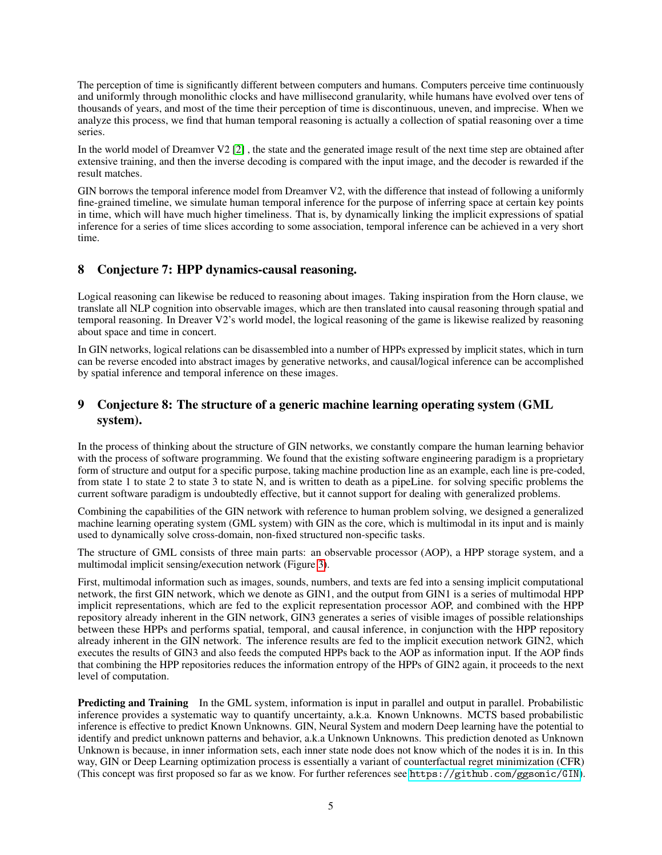The perception of time is significantly different between computers and humans. Computers perceive time continuously and uniformly through monolithic clocks and have millisecond granularity, while humans have evolved over tens of thousands of years, and most of the time their perception of time is discontinuous, uneven, and imprecise. When we analyze this process, we find that human temporal reasoning is actually a collection of spatial reasoning over a time series.

In the world model of Dreamver V2 [\[2\]](#page-8-1) , the state and the generated image result of the next time step are obtained after extensive training, and then the inverse decoding is compared with the input image, and the decoder is rewarded if the result matches.

GIN borrows the temporal inference model from Dreamver V2, with the difference that instead of following a uniformly fine-grained timeline, we simulate human temporal inference for the purpose of inferring space at certain key points in time, which will have much higher timeliness. That is, by dynamically linking the implicit expressions of spatial inference for a series of time slices according to some association, temporal inference can be achieved in a very short time.

### 8 Conjecture 7: HPP dynamics-causal reasoning.

Logical reasoning can likewise be reduced to reasoning about images. Taking inspiration from the Horn clause, we translate all NLP cognition into observable images, which are then translated into causal reasoning through spatial and temporal reasoning. In Dreaver V2's world model, the logical reasoning of the game is likewise realized by reasoning about space and time in concert.

In GIN networks, logical relations can be disassembled into a number of HPPs expressed by implicit states, which in turn can be reverse encoded into abstract images by generative networks, and causal/logical inference can be accomplished by spatial inference and temporal inference on these images.

## 9 Conjecture 8: The structure of a generic machine learning operating system (GML system).

In the process of thinking about the structure of GIN networks, we constantly compare the human learning behavior with the process of software programming. We found that the existing software engineering paradigm is a proprietary form of structure and output for a specific purpose, taking machine production line as an example, each line is pre-coded, from state 1 to state 2 to state 3 to state N, and is written to death as a pipeLine. for solving specific problems the current software paradigm is undoubtedly effective, but it cannot support for dealing with generalized problems.

Combining the capabilities of the GIN network with reference to human problem solving, we designed a generalized machine learning operating system (GML system) with GIN as the core, which is multimodal in its input and is mainly used to dynamically solve cross-domain, non-fixed structured non-specific tasks.

The structure of GML consists of three main parts: an observable processor (AOP), a HPP storage system, and a multimodal implicit sensing/execution network (Figure [3\)](#page-5-0).

First, multimodal information such as images, sounds, numbers, and texts are fed into a sensing implicit computational network, the first GIN network, which we denote as GIN1, and the output from GIN1 is a series of multimodal HPP implicit representations, which are fed to the explicit representation processor AOP, and combined with the HPP repository already inherent in the GIN network, GIN3 generates a series of visible images of possible relationships between these HPPs and performs spatial, temporal, and causal inference, in conjunction with the HPP repository already inherent in the GIN network. The inference results are fed to the implicit execution network GIN2, which executes the results of GIN3 and also feeds the computed HPPs back to the AOP as information input. If the AOP finds that combining the HPP repositories reduces the information entropy of the HPPs of GIN2 again, it proceeds to the next level of computation.

**Predicting and Training** In the GML system, information is input in parallel and output in parallel. Probabilistic inference provides a systematic way to quantify uncertainty, a.k.a. Known Unknowns. MCTS based probabilistic inference is effective to predict Known Unknowns. GIN, Neural System and modern Deep learning have the potential to identify and predict unknown patterns and behavior, a.k.a Unknown Unknowns. This prediction denoted as Unknown Unknown is because, in inner information sets, each inner state node does not know which of the nodes it is in. In this way, GIN or Deep Learning optimization process is essentially a variant of counterfactual regret minimization (CFR) (This concept was first proposed so far as we know. For further references see <https://github.com/ggsonic/GIN>).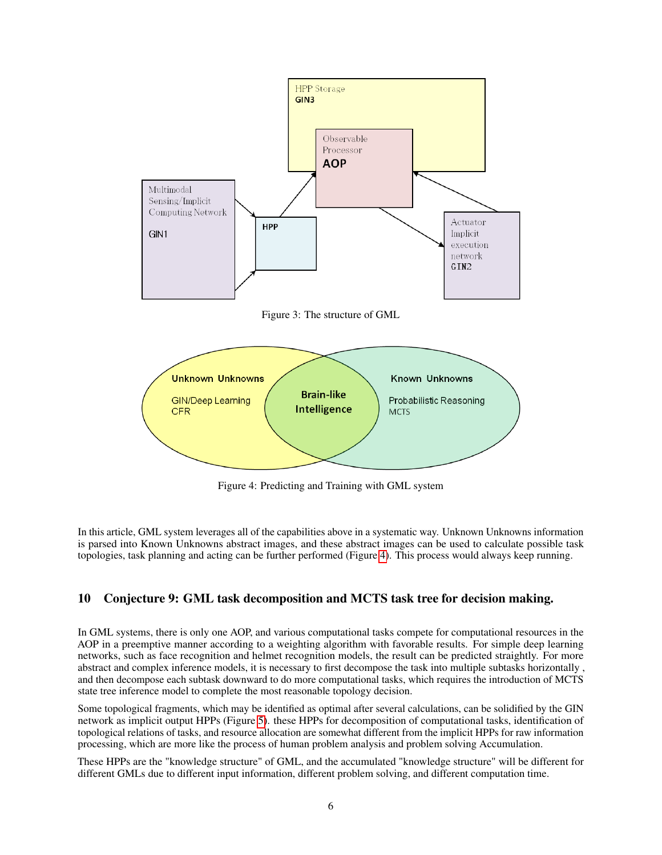

<span id="page-5-0"></span>Figure 3: The structure of GML



<span id="page-5-1"></span>Figure 4: Predicting and Training with GML system

In this article, GML system leverages all of the capabilities above in a systematic way. Unknown Unknowns information is parsed into Known Unknowns abstract images, and these abstract images can be used to calculate possible task topologies, task planning and acting can be further performed (Figure [4\)](#page-5-1). This process would always keep running.

# 10 Conjecture 9: GML task decomposition and MCTS task tree for decision making.

In GML systems, there is only one AOP, and various computational tasks compete for computational resources in the AOP in a preemptive manner according to a weighting algorithm with favorable results. For simple deep learning networks, such as face recognition and helmet recognition models, the result can be predicted straightly. For more abstract and complex inference models, it is necessary to first decompose the task into multiple subtasks horizontally , and then decompose each subtask downward to do more computational tasks, which requires the introduction of MCTS state tree inference model to complete the most reasonable topology decision.

Some topological fragments, which may be identified as optimal after several calculations, can be solidified by the GIN network as implicit output HPPs (Figure [5\)](#page-6-0). these HPPs for decomposition of computational tasks, identification of topological relations of tasks, and resource allocation are somewhat different from the implicit HPPs for raw information processing, which are more like the process of human problem analysis and problem solving Accumulation.

These HPPs are the "knowledge structure" of GML, and the accumulated "knowledge structure" will be different for different GMLs due to different input information, different problem solving, and different computation time.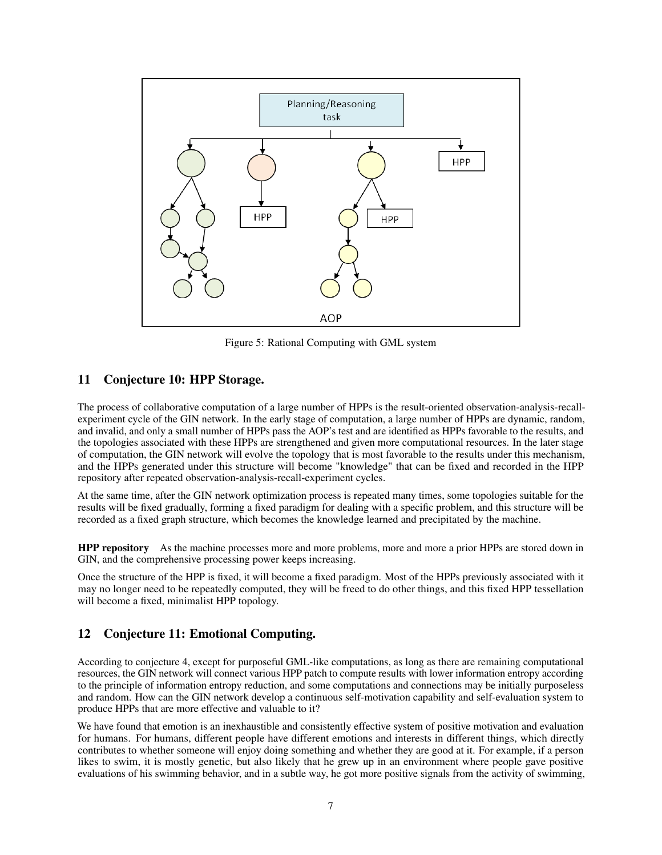

<span id="page-6-0"></span>Figure 5: Rational Computing with GML system

### 11 Conjecture 10: HPP Storage.

The process of collaborative computation of a large number of HPPs is the result-oriented observation-analysis-recallexperiment cycle of the GIN network. In the early stage of computation, a large number of HPPs are dynamic, random, and invalid, and only a small number of HPPs pass the AOP's test and are identified as HPPs favorable to the results, and the topologies associated with these HPPs are strengthened and given more computational resources. In the later stage of computation, the GIN network will evolve the topology that is most favorable to the results under this mechanism, and the HPPs generated under this structure will become "knowledge" that can be fixed and recorded in the HPP repository after repeated observation-analysis-recall-experiment cycles.

At the same time, after the GIN network optimization process is repeated many times, some topologies suitable for the results will be fixed gradually, forming a fixed paradigm for dealing with a specific problem, and this structure will be recorded as a fixed graph structure, which becomes the knowledge learned and precipitated by the machine.

HPP repository As the machine processes more and more problems, more and more a prior HPPs are stored down in GIN, and the comprehensive processing power keeps increasing.

Once the structure of the HPP is fixed, it will become a fixed paradigm. Most of the HPPs previously associated with it may no longer need to be repeatedly computed, they will be freed to do other things, and this fixed HPP tessellation will become a fixed, minimalist HPP topology.

# 12 Conjecture 11: Emotional Computing.

According to conjecture 4, except for purposeful GML-like computations, as long as there are remaining computational resources, the GIN network will connect various HPP patch to compute results with lower information entropy according to the principle of information entropy reduction, and some computations and connections may be initially purposeless and random. How can the GIN network develop a continuous self-motivation capability and self-evaluation system to produce HPPs that are more effective and valuable to it?

We have found that emotion is an inexhaustible and consistently effective system of positive motivation and evaluation for humans. For humans, different people have different emotions and interests in different things, which directly contributes to whether someone will enjoy doing something and whether they are good at it. For example, if a person likes to swim, it is mostly genetic, but also likely that he grew up in an environment where people gave positive evaluations of his swimming behavior, and in a subtle way, he got more positive signals from the activity of swimming,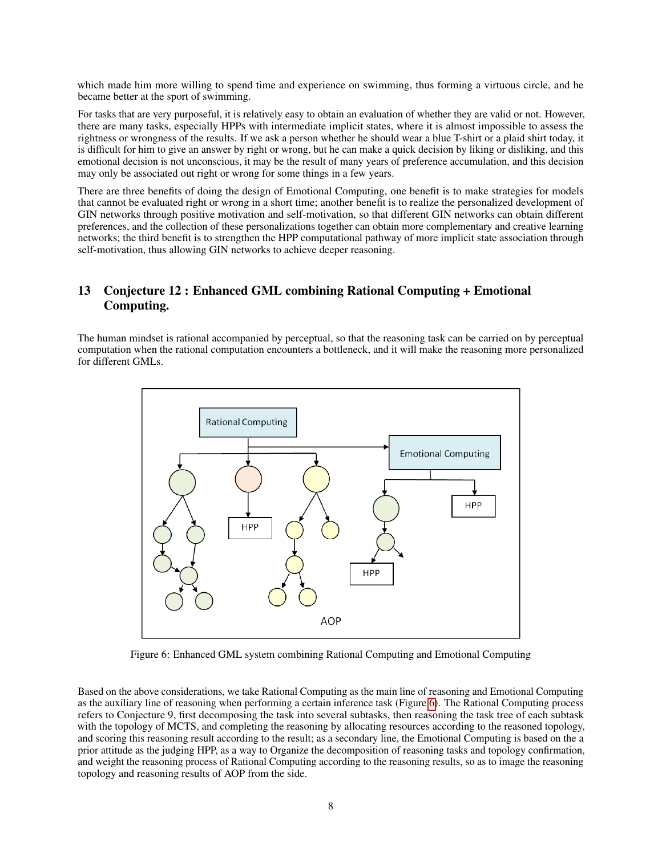which made him more willing to spend time and experience on swimming, thus forming a virtuous circle, and he became better at the sport of swimming.

For tasks that are very purposeful, it is relatively easy to obtain an evaluation of whether they are valid or not. However, there are many tasks, especially HPPs with intermediate implicit states, where it is almost impossible to assess the rightness or wrongness of the results. If we ask a person whether he should wear a blue T-shirt or a plaid shirt today, it is difficult for him to give an answer by right or wrong, but he can make a quick decision by liking or disliking, and this emotional decision is not unconscious, it may be the result of many years of preference accumulation, and this decision may only be associated out right or wrong for some things in a few years.

There are three benefits of doing the design of Emotional Computing, one benefit is to make strategies for models that cannot be evaluated right or wrong in a short time; another benefit is to realize the personalized development of GIN networks through positive motivation and self-motivation, so that different GIN networks can obtain different preferences, and the collection of these personalizations together can obtain more complementary and creative learning networks; the third benefit is to strengthen the HPP computational pathway of more implicit state association through self-motivation, thus allowing GIN networks to achieve deeper reasoning.

# 13 Conjecture 12 : Enhanced GML combining Rational Computing + Emotional Computing.

The human mindset is rational accompanied by perceptual, so that the reasoning task can be carried on by perceptual computation when the rational computation encounters a bottleneck, and it will make the reasoning more personalized for different GMLs.



<span id="page-7-0"></span>Figure 6: Enhanced GML system combining Rational Computing and Emotional Computing

Based on the above considerations, we take Rational Computing as the main line of reasoning and Emotional Computing as the auxiliary line of reasoning when performing a certain inference task (Figure [6\)](#page-7-0). The Rational Computing process refers to Conjecture 9, first decomposing the task into several subtasks, then reasoning the task tree of each subtask with the topology of MCTS, and completing the reasoning by allocating resources according to the reasoned topology, and scoring this reasoning result according to the result; as a secondary line, the Emotional Computing is based on the a prior attitude as the judging HPP, as a way to Organize the decomposition of reasoning tasks and topology confirmation, and weight the reasoning process of Rational Computing according to the reasoning results, so as to image the reasoning topology and reasoning results of AOP from the side.